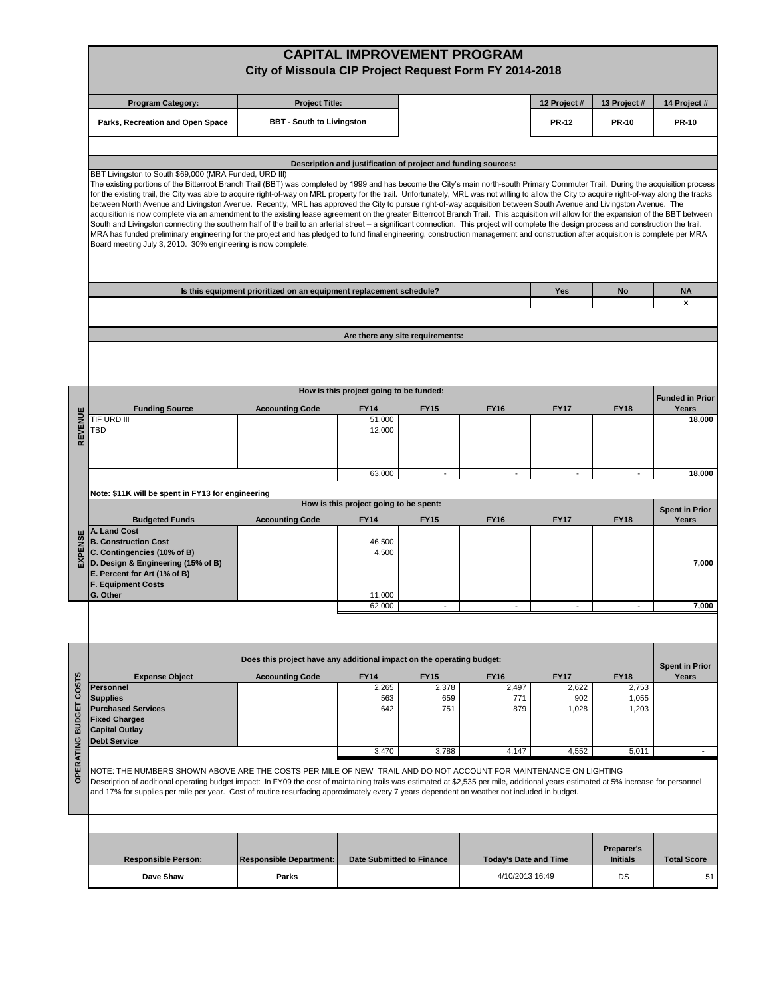|                  | <b>CAPITAL IMPROVEMENT PROGRAM</b><br>City of Missoula CIP Project Request Form FY 2014-2018                                                                                                                                                                                                                                                                                                                                                                                                                                                                                                                                                                                                                                                                                                                                                                                                                                                                                                                                                                                                                                                                                                                                                                                                                                     |                                                                       |                                         |                                  |                              |                |                               |                                |  |  |  |  |  |
|------------------|----------------------------------------------------------------------------------------------------------------------------------------------------------------------------------------------------------------------------------------------------------------------------------------------------------------------------------------------------------------------------------------------------------------------------------------------------------------------------------------------------------------------------------------------------------------------------------------------------------------------------------------------------------------------------------------------------------------------------------------------------------------------------------------------------------------------------------------------------------------------------------------------------------------------------------------------------------------------------------------------------------------------------------------------------------------------------------------------------------------------------------------------------------------------------------------------------------------------------------------------------------------------------------------------------------------------------------|-----------------------------------------------------------------------|-----------------------------------------|----------------------------------|------------------------------|----------------|-------------------------------|--------------------------------|--|--|--|--|--|
|                  | <b>Program Category:</b>                                                                                                                                                                                                                                                                                                                                                                                                                                                                                                                                                                                                                                                                                                                                                                                                                                                                                                                                                                                                                                                                                                                                                                                                                                                                                                         | <b>Project Title:</b>                                                 |                                         |                                  | 12 Project #                 | 13 Project #   | 14 Project #                  |                                |  |  |  |  |  |
|                  | Parks, Recreation and Open Space                                                                                                                                                                                                                                                                                                                                                                                                                                                                                                                                                                                                                                                                                                                                                                                                                                                                                                                                                                                                                                                                                                                                                                                                                                                                                                 | <b>BBT - South to Livingston</b>                                      |                                         |                                  |                              | <b>PR-12</b>   | <b>PR-10</b>                  | <b>PR-10</b>                   |  |  |  |  |  |
|                  |                                                                                                                                                                                                                                                                                                                                                                                                                                                                                                                                                                                                                                                                                                                                                                                                                                                                                                                                                                                                                                                                                                                                                                                                                                                                                                                                  |                                                                       |                                         |                                  |                              |                |                               |                                |  |  |  |  |  |
|                  | Description and justification of project and funding sources:<br>BBT Livingston to South \$69,000 (MRA Funded, URD III)<br>The existing portions of the Bitterroot Branch Trail (BBT) was completed by 1999 and has become the City's main north-south Primary Commuter Trail. During the acquisition process<br>for the existing trail, the City was able to acquire right-of-way on MRL property for the trail. Unfortunately, MRL was not willing to allow the City to acquire right-of-way along the tracks<br>between North Avenue and Livingston Avenue. Recently, MRL has approved the City to pursue right-of-way acquisition between South Avenue and Livingston Avenue. The<br>acquisition is now complete via an amendment to the existing lease agreement on the greater Bitterroot Branch Trail. This acquisition will allow for the expansion of the BBT between<br>South and Livingston connecting the southern half of the trail to an arterial street - a significant connection. This project will complete the design process and construction the trail.<br>MRA has funded preliminary engineering for the project and has pledged to fund final engineering, construction management and construction after acquisition is complete per MRA<br>Board meeting July 3, 2010. 30% engineering is now complete. |                                                                       |                                         |                                  |                              |                |                               |                                |  |  |  |  |  |
|                  |                                                                                                                                                                                                                                                                                                                                                                                                                                                                                                                                                                                                                                                                                                                                                                                                                                                                                                                                                                                                                                                                                                                                                                                                                                                                                                                                  |                                                                       |                                         |                                  |                              |                |                               |                                |  |  |  |  |  |
|                  |                                                                                                                                                                                                                                                                                                                                                                                                                                                                                                                                                                                                                                                                                                                                                                                                                                                                                                                                                                                                                                                                                                                                                                                                                                                                                                                                  | Is this equipment prioritized on an equipment replacement schedule?   |                                         |                                  |                              | Yes            | No                            | <b>NA</b>                      |  |  |  |  |  |
|                  |                                                                                                                                                                                                                                                                                                                                                                                                                                                                                                                                                                                                                                                                                                                                                                                                                                                                                                                                                                                                                                                                                                                                                                                                                                                                                                                                  |                                                                       |                                         |                                  |                              |                |                               | x                              |  |  |  |  |  |
|                  |                                                                                                                                                                                                                                                                                                                                                                                                                                                                                                                                                                                                                                                                                                                                                                                                                                                                                                                                                                                                                                                                                                                                                                                                                                                                                                                                  |                                                                       |                                         |                                  |                              |                |                               |                                |  |  |  |  |  |
|                  |                                                                                                                                                                                                                                                                                                                                                                                                                                                                                                                                                                                                                                                                                                                                                                                                                                                                                                                                                                                                                                                                                                                                                                                                                                                                                                                                  |                                                                       |                                         | Are there any site requirements: |                              |                |                               |                                |  |  |  |  |  |
|                  |                                                                                                                                                                                                                                                                                                                                                                                                                                                                                                                                                                                                                                                                                                                                                                                                                                                                                                                                                                                                                                                                                                                                                                                                                                                                                                                                  |                                                                       |                                         |                                  |                              |                |                               |                                |  |  |  |  |  |
|                  |                                                                                                                                                                                                                                                                                                                                                                                                                                                                                                                                                                                                                                                                                                                                                                                                                                                                                                                                                                                                                                                                                                                                                                                                                                                                                                                                  |                                                                       | How is this project going to be funded: |                                  |                              |                |                               | <b>Funded in Prior</b>         |  |  |  |  |  |
|                  | <b>Funding Source</b>                                                                                                                                                                                                                                                                                                                                                                                                                                                                                                                                                                                                                                                                                                                                                                                                                                                                                                                                                                                                                                                                                                                                                                                                                                                                                                            | <b>Accounting Code</b>                                                | <b>FY14</b>                             | <b>FY15</b>                      | <b>FY16</b>                  | <b>FY17</b>    | <b>FY18</b>                   | Years                          |  |  |  |  |  |
| REVENUE          | TIF URD III<br>TBD                                                                                                                                                                                                                                                                                                                                                                                                                                                                                                                                                                                                                                                                                                                                                                                                                                                                                                                                                                                                                                                                                                                                                                                                                                                                                                               |                                                                       | 51,000<br>12,000                        |                                  |                              |                |                               | 18,000                         |  |  |  |  |  |
|                  |                                                                                                                                                                                                                                                                                                                                                                                                                                                                                                                                                                                                                                                                                                                                                                                                                                                                                                                                                                                                                                                                                                                                                                                                                                                                                                                                  |                                                                       |                                         |                                  |                              |                |                               |                                |  |  |  |  |  |
|                  |                                                                                                                                                                                                                                                                                                                                                                                                                                                                                                                                                                                                                                                                                                                                                                                                                                                                                                                                                                                                                                                                                                                                                                                                                                                                                                                                  |                                                                       | 63,000                                  | $\blacksquare$                   |                              | $\blacksquare$ | $\overline{\phantom{a}}$      | 18,000                         |  |  |  |  |  |
|                  | Note: \$11K will be spent in FY13 for engineering                                                                                                                                                                                                                                                                                                                                                                                                                                                                                                                                                                                                                                                                                                                                                                                                                                                                                                                                                                                                                                                                                                                                                                                                                                                                                |                                                                       |                                         |                                  |                              |                |                               |                                |  |  |  |  |  |
|                  | How is this project going to be spent:<br><b>Spent in Prior</b>                                                                                                                                                                                                                                                                                                                                                                                                                                                                                                                                                                                                                                                                                                                                                                                                                                                                                                                                                                                                                                                                                                                                                                                                                                                                  |                                                                       |                                         |                                  |                              |                |                               |                                |  |  |  |  |  |
|                  | <b>Budgeted Funds</b><br>A. Land Cost                                                                                                                                                                                                                                                                                                                                                                                                                                                                                                                                                                                                                                                                                                                                                                                                                                                                                                                                                                                                                                                                                                                                                                                                                                                                                            | <b>Accounting Code</b>                                                | <b>FY14</b>                             | <b>FY15</b>                      | <b>FY16</b>                  | <b>FY17</b>    | <b>FY18</b>                   | Years                          |  |  |  |  |  |
|                  | <b>B. Construction Cost</b>                                                                                                                                                                                                                                                                                                                                                                                                                                                                                                                                                                                                                                                                                                                                                                                                                                                                                                                                                                                                                                                                                                                                                                                                                                                                                                      |                                                                       | 46,500                                  |                                  |                              |                |                               |                                |  |  |  |  |  |
| <b>EXPENS</b>    | C. Contingencies (10% of B)<br>D. Design & Engineering (15% of B)                                                                                                                                                                                                                                                                                                                                                                                                                                                                                                                                                                                                                                                                                                                                                                                                                                                                                                                                                                                                                                                                                                                                                                                                                                                                |                                                                       | 4,500                                   |                                  |                              |                |                               | 7,000                          |  |  |  |  |  |
|                  | E. Percent for Art (1% of B)                                                                                                                                                                                                                                                                                                                                                                                                                                                                                                                                                                                                                                                                                                                                                                                                                                                                                                                                                                                                                                                                                                                                                                                                                                                                                                     |                                                                       |                                         |                                  |                              |                |                               |                                |  |  |  |  |  |
|                  | <b>F. Equipment Costs</b><br>G. Other                                                                                                                                                                                                                                                                                                                                                                                                                                                                                                                                                                                                                                                                                                                                                                                                                                                                                                                                                                                                                                                                                                                                                                                                                                                                                            |                                                                       | 11,000                                  |                                  |                              |                |                               |                                |  |  |  |  |  |
|                  |                                                                                                                                                                                                                                                                                                                                                                                                                                                                                                                                                                                                                                                                                                                                                                                                                                                                                                                                                                                                                                                                                                                                                                                                                                                                                                                                  |                                                                       | 62.000                                  |                                  |                              |                |                               | 7.000                          |  |  |  |  |  |
|                  |                                                                                                                                                                                                                                                                                                                                                                                                                                                                                                                                                                                                                                                                                                                                                                                                                                                                                                                                                                                                                                                                                                                                                                                                                                                                                                                                  |                                                                       |                                         |                                  |                              |                |                               |                                |  |  |  |  |  |
|                  |                                                                                                                                                                                                                                                                                                                                                                                                                                                                                                                                                                                                                                                                                                                                                                                                                                                                                                                                                                                                                                                                                                                                                                                                                                                                                                                                  | Does this project have any additional impact on the operating budget: |                                         |                                  |                              |                |                               |                                |  |  |  |  |  |
|                  | <b>Expense Object</b>                                                                                                                                                                                                                                                                                                                                                                                                                                                                                                                                                                                                                                                                                                                                                                                                                                                                                                                                                                                                                                                                                                                                                                                                                                                                                                            | <b>Accounting Code</b>                                                | <b>FY14</b>                             | <b>FY15</b>                      | <b>FY16</b>                  | <b>FY17</b>    | <b>FY18</b>                   | <b>Spent in Prior</b><br>Years |  |  |  |  |  |
| <b>COSTS</b>     | <b>Personnel</b>                                                                                                                                                                                                                                                                                                                                                                                                                                                                                                                                                                                                                                                                                                                                                                                                                                                                                                                                                                                                                                                                                                                                                                                                                                                                                                                 |                                                                       | 2,265                                   | 2,378                            | 2,497                        | 2,622          | 2,753                         |                                |  |  |  |  |  |
|                  | <b>Supplies</b><br><b>Purchased Services</b>                                                                                                                                                                                                                                                                                                                                                                                                                                                                                                                                                                                                                                                                                                                                                                                                                                                                                                                                                                                                                                                                                                                                                                                                                                                                                     |                                                                       | 563<br>642                              | 659<br>751                       | 771<br>879                   | 902<br>1,028   | 1,055<br>1,203                |                                |  |  |  |  |  |
| <b>BUDGET</b>    | <b>Fixed Charges</b>                                                                                                                                                                                                                                                                                                                                                                                                                                                                                                                                                                                                                                                                                                                                                                                                                                                                                                                                                                                                                                                                                                                                                                                                                                                                                                             |                                                                       |                                         |                                  |                              |                |                               |                                |  |  |  |  |  |
|                  | <b>Capital Outlay</b><br><b>Debt Service</b>                                                                                                                                                                                                                                                                                                                                                                                                                                                                                                                                                                                                                                                                                                                                                                                                                                                                                                                                                                                                                                                                                                                                                                                                                                                                                     |                                                                       |                                         |                                  |                              |                |                               |                                |  |  |  |  |  |
|                  |                                                                                                                                                                                                                                                                                                                                                                                                                                                                                                                                                                                                                                                                                                                                                                                                                                                                                                                                                                                                                                                                                                                                                                                                                                                                                                                                  |                                                                       | 3,470                                   | 3,788                            | 4,147                        | 4,552          | 5,011                         |                                |  |  |  |  |  |
| <b>OPERATING</b> | NOTE: THE NUMBERS SHOWN ABOVE ARE THE COSTS PER MILE OF NEW TRAIL AND DO NOT ACCOUNT FOR MAINTENANCE ON LIGHTING<br>Description of additional operating budget impact: In FY09 the cost of maintaining trails was estimated at \$2,535 per mile, additional years estimated at 5% increase for personnel<br>and 17% for supplies per mile per year. Cost of routine resurfacing approximately every 7 years dependent on weather not included in budget.                                                                                                                                                                                                                                                                                                                                                                                                                                                                                                                                                                                                                                                                                                                                                                                                                                                                         |                                                                       |                                         |                                  |                              |                |                               |                                |  |  |  |  |  |
|                  |                                                                                                                                                                                                                                                                                                                                                                                                                                                                                                                                                                                                                                                                                                                                                                                                                                                                                                                                                                                                                                                                                                                                                                                                                                                                                                                                  |                                                                       |                                         |                                  |                              |                |                               |                                |  |  |  |  |  |
|                  | <b>Responsible Person:</b>                                                                                                                                                                                                                                                                                                                                                                                                                                                                                                                                                                                                                                                                                                                                                                                                                                                                                                                                                                                                                                                                                                                                                                                                                                                                                                       | <b>Responsible Department:</b>                                        |                                         | <b>Date Submitted to Finance</b> | <b>Today's Date and Time</b> |                | Preparer's<br><b>Initials</b> | <b>Total Score</b>             |  |  |  |  |  |
|                  | Dave Shaw                                                                                                                                                                                                                                                                                                                                                                                                                                                                                                                                                                                                                                                                                                                                                                                                                                                                                                                                                                                                                                                                                                                                                                                                                                                                                                                        | Parks                                                                 |                                         |                                  | 4/10/2013 16:49              |                | DS                            | 51                             |  |  |  |  |  |
|                  |                                                                                                                                                                                                                                                                                                                                                                                                                                                                                                                                                                                                                                                                                                                                                                                                                                                                                                                                                                                                                                                                                                                                                                                                                                                                                                                                  |                                                                       |                                         |                                  |                              |                |                               |                                |  |  |  |  |  |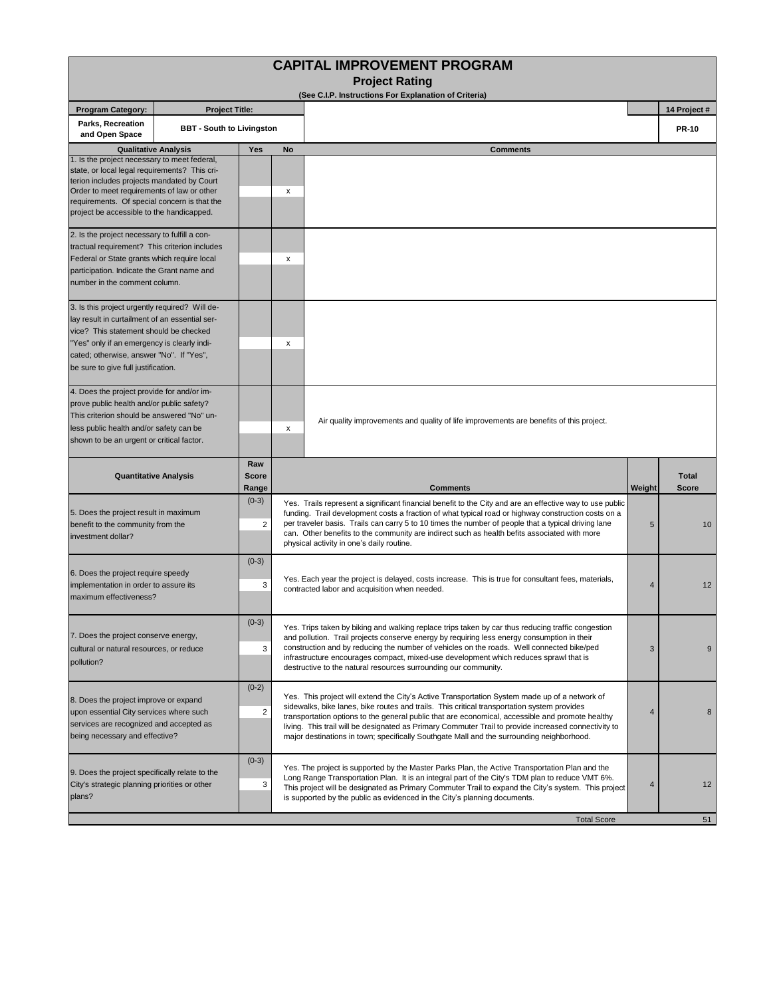| <b>CAPITAL IMPROVEMENT PROGRAM</b>                                                                                                                                                                                                                                                     |                             |                                                                                                                                                                                                                                                                                                                                                                                       |                                                                                                                                                                                                                                                                                                                                                                                                                                                                          |                                                                                                                                                                                                                                                                                                                                                                                                                                                                                                       |        |                              |  |  |  |  |  |  |
|----------------------------------------------------------------------------------------------------------------------------------------------------------------------------------------------------------------------------------------------------------------------------------------|-----------------------------|---------------------------------------------------------------------------------------------------------------------------------------------------------------------------------------------------------------------------------------------------------------------------------------------------------------------------------------------------------------------------------------|--------------------------------------------------------------------------------------------------------------------------------------------------------------------------------------------------------------------------------------------------------------------------------------------------------------------------------------------------------------------------------------------------------------------------------------------------------------------------|-------------------------------------------------------------------------------------------------------------------------------------------------------------------------------------------------------------------------------------------------------------------------------------------------------------------------------------------------------------------------------------------------------------------------------------------------------------------------------------------------------|--------|------------------------------|--|--|--|--|--|--|
| <b>Project Rating</b><br>(See C.I.P. Instructions For Explanation of Criteria)                                                                                                                                                                                                         |                             |                                                                                                                                                                                                                                                                                                                                                                                       |                                                                                                                                                                                                                                                                                                                                                                                                                                                                          |                                                                                                                                                                                                                                                                                                                                                                                                                                                                                                       |        |                              |  |  |  |  |  |  |
| <b>Project Title:</b><br><b>Program Category:</b>                                                                                                                                                                                                                                      |                             |                                                                                                                                                                                                                                                                                                                                                                                       |                                                                                                                                                                                                                                                                                                                                                                                                                                                                          |                                                                                                                                                                                                                                                                                                                                                                                                                                                                                                       |        | 14 Project #                 |  |  |  |  |  |  |
| Parks, Recreation<br><b>BBT - South to Livingston</b><br>and Open Space                                                                                                                                                                                                                |                             |                                                                                                                                                                                                                                                                                                                                                                                       |                                                                                                                                                                                                                                                                                                                                                                                                                                                                          |                                                                                                                                                                                                                                                                                                                                                                                                                                                                                                       |        | <b>PR-10</b>                 |  |  |  |  |  |  |
|                                                                                                                                                                                                                                                                                        | <b>Qualitative Analysis</b> | Yes                                                                                                                                                                                                                                                                                                                                                                                   | No                                                                                                                                                                                                                                                                                                                                                                                                                                                                       | <b>Comments</b>                                                                                                                                                                                                                                                                                                                                                                                                                                                                                       |        |                              |  |  |  |  |  |  |
| 1. Is the project necessary to meet federal,<br>state, or local legal requirements? This cri-<br>terion includes projects mandated by Court<br>Order to meet requirements of law or other<br>requirements. Of special concern is that the<br>project be accessible to the handicapped. |                             |                                                                                                                                                                                                                                                                                                                                                                                       | x                                                                                                                                                                                                                                                                                                                                                                                                                                                                        |                                                                                                                                                                                                                                                                                                                                                                                                                                                                                                       |        |                              |  |  |  |  |  |  |
| 2. Is the project necessary to fulfill a con-<br>tractual requirement? This criterion includes<br>Federal or State grants which require local<br>participation. Indicate the Grant name and<br>number in the comment column.                                                           |                             |                                                                                                                                                                                                                                                                                                                                                                                       | x                                                                                                                                                                                                                                                                                                                                                                                                                                                                        |                                                                                                                                                                                                                                                                                                                                                                                                                                                                                                       |        |                              |  |  |  |  |  |  |
| 3. Is this project urgently required? Will de-<br>lay result in curtailment of an essential ser-<br>vice? This statement should be checked<br>"Yes" only if an emergency is clearly indi-<br>cated; otherwise, answer "No". If "Yes",<br>be sure to give full justification.           |                             |                                                                                                                                                                                                                                                                                                                                                                                       | х                                                                                                                                                                                                                                                                                                                                                                                                                                                                        |                                                                                                                                                                                                                                                                                                                                                                                                                                                                                                       |        |                              |  |  |  |  |  |  |
| 4. Does the project provide for and/or im-<br>prove public health and/or public safety?<br>This criterion should be answered "No" un-<br>less public health and/or safety can be<br>shown to be an urgent or critical factor.                                                          |                             |                                                                                                                                                                                                                                                                                                                                                                                       | x                                                                                                                                                                                                                                                                                                                                                                                                                                                                        | Air quality improvements and quality of life improvements are benefits of this project.                                                                                                                                                                                                                                                                                                                                                                                                               |        |                              |  |  |  |  |  |  |
| <b>Quantitative Analysis</b>                                                                                                                                                                                                                                                           |                             | Raw<br><b>Score</b><br>Range                                                                                                                                                                                                                                                                                                                                                          |                                                                                                                                                                                                                                                                                                                                                                                                                                                                          | <b>Comments</b>                                                                                                                                                                                                                                                                                                                                                                                                                                                                                       | Weight | <b>Total</b><br><b>Score</b> |  |  |  |  |  |  |
| 5. Does the project result in maximum<br>benefit to the community from the<br>investment dollar?                                                                                                                                                                                       |                             | $(0-3)$<br>$\overline{2}$                                                                                                                                                                                                                                                                                                                                                             | Yes. Trails represent a significant financial benefit to the City and are an effective way to use public<br>funding. Trail development costs a fraction of what typical road or highway construction costs on a<br>per traveler basis. Trails can carry 5 to 10 times the number of people that a typical driving lane<br>5<br>can. Other benefits to the community are indirect such as health befits associated with more<br>physical activity in one's daily routine. |                                                                                                                                                                                                                                                                                                                                                                                                                                                                                                       |        | 10                           |  |  |  |  |  |  |
| 6. Does the project require speedy<br>implementation in order to assure its<br>maximum effectiveness?                                                                                                                                                                                  |                             | $(0-3)$<br>3                                                                                                                                                                                                                                                                                                                                                                          | Yes. Each year the project is delayed, costs increase. This is true for consultant fees, materials,<br>$\overline{4}$<br>contracted labor and acquisition when needed.                                                                                                                                                                                                                                                                                                   |                                                                                                                                                                                                                                                                                                                                                                                                                                                                                                       |        |                              |  |  |  |  |  |  |
| 7. Does the project conserve energy,<br>cultural or natural resources, or reduce<br>pollution?                                                                                                                                                                                         |                             | $(0-3)$<br>3                                                                                                                                                                                                                                                                                                                                                                          | Yes. Trips taken by biking and walking replace trips taken by car thus reducing traffic congestion<br>and pollution. Trail projects conserve energy by requiring less energy consumption in their<br>construction and by reducing the number of vehicles on the roads. Well connected bike/ped<br>3<br>infrastructure encourages compact, mixed-use development which reduces sprawl that is<br>destructive to the natural resources surrounding our community.          |                                                                                                                                                                                                                                                                                                                                                                                                                                                                                                       |        | 9                            |  |  |  |  |  |  |
| 8. Does the project improve or expand<br>upon essential City services where such<br>services are recognized and accepted as<br>being necessary and effective?                                                                                                                          |                             | $(0-2)$<br>$\overline{c}$                                                                                                                                                                                                                                                                                                                                                             |                                                                                                                                                                                                                                                                                                                                                                                                                                                                          | Yes. This project will extend the City's Active Transportation System made up of a network of<br>sidewalks, bike lanes, bike routes and trails. This critical transportation system provides<br>transportation options to the general public that are economical, accessible and promote healthy<br>living. This trail will be designated as Primary Commuter Trail to provide increased connectivity to<br>major destinations in town; specifically Southgate Mall and the surrounding neighborhood. | 4      | 8                            |  |  |  |  |  |  |
| 9. Does the project specifically relate to the<br>City's strategic planning priorities or other<br>plans?                                                                                                                                                                              | $(0-3)$<br>3                | Yes. The project is supported by the Master Parks Plan, the Active Transportation Plan and the<br>Long Range Transportation Plan. It is an integral part of the City's TDM plan to reduce VMT 6%.<br>This project will be designated as Primary Commuter Trail to expand the City's system. This project<br>is supported by the public as evidenced in the City's planning documents. |                                                                                                                                                                                                                                                                                                                                                                                                                                                                          |                                                                                                                                                                                                                                                                                                                                                                                                                                                                                                       | 12     |                              |  |  |  |  |  |  |
|                                                                                                                                                                                                                                                                                        |                             |                                                                                                                                                                                                                                                                                                                                                                                       |                                                                                                                                                                                                                                                                                                                                                                                                                                                                          | <b>Total Score</b>                                                                                                                                                                                                                                                                                                                                                                                                                                                                                    |        | 51                           |  |  |  |  |  |  |